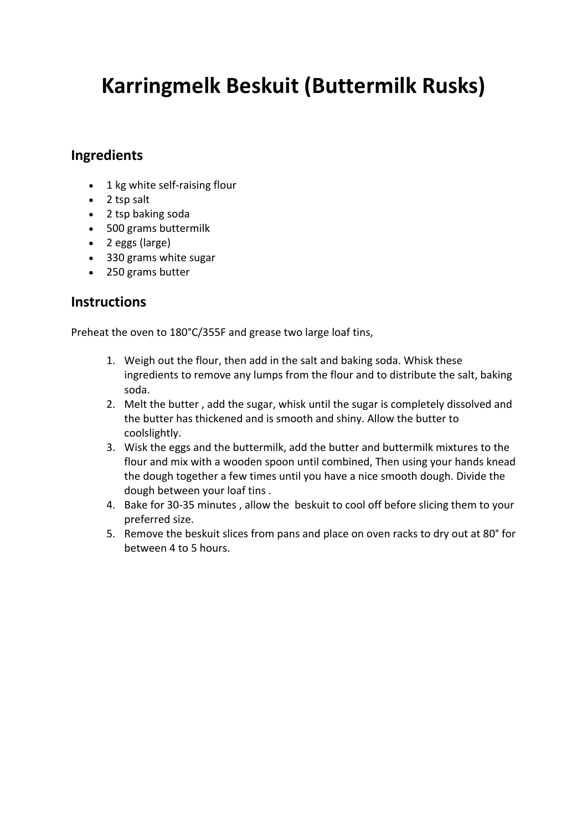# **Karringmelk Beskuit (Buttermilk Rusks)**

# **Ingredients**

- 1 kg white self-raising flour
- 2 tsp salt
- 2 tsp baking soda
- 500 grams buttermilk
- 2 eggs (large)
- 330 grams white sugar
- 250 grams butter

### **Instructions**

Preheat the oven to 180°C/355F and grease two large loaf tins,

- 1. Weigh out the flour, then add in the salt and baking soda. Whisk these ingredients to remove any lumps from the flour and to distribute the salt, baking soda.
- 2. Melt the butter , add the sugar, whisk until the sugar is completely dissolved and the butter has thickened and is smooth and shiny. Allow the butter to coolslightly.
- 3. Wisk the eggs and the buttermilk, add the butter and buttermilk mixtures to the flour and mix with a wooden spoon until combined, Then using your hands knead the dough together a few times until you have a nice smooth dough. Divide the dough between your loaf tins .
- 4. Bake for 30-35 minutes , allow the beskuit to cool off before slicing them to your preferred size.
- 5. Remove the beskuit slices from pans and place on oven racks to dry out at 80° for between 4 to 5 hours.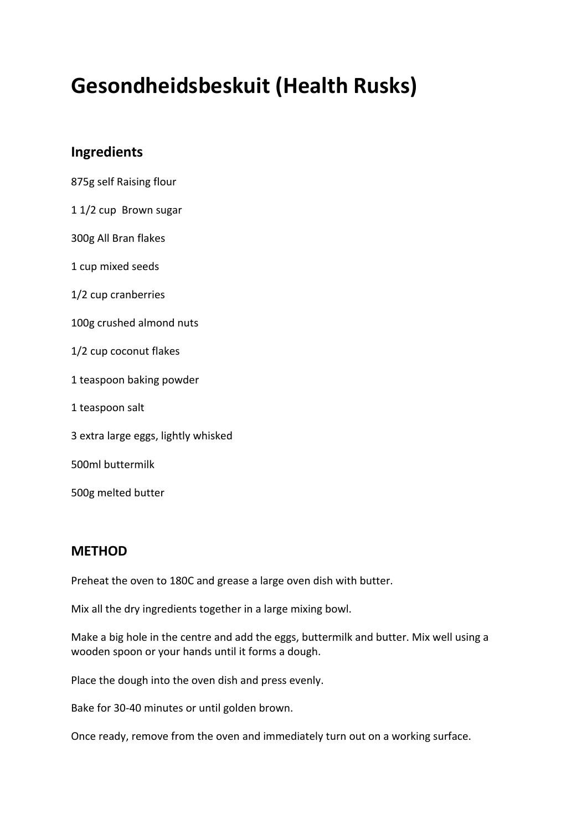# **Gesondheidsbeskuit (Health Rusks)**

# **Ingredients**

- 875g self Raising flour
- 1 1/2 cup Brown sugar
- 300g All Bran flakes
- 1 cup mixed seeds
- 1/2 cup cranberries
- 100g crushed almond nuts
- 1/2 cup coconut flakes
- 1 teaspoon baking powder
- 1 teaspoon salt
- 3 extra large eggs, lightly whisked
- 500ml buttermilk

500g melted butter

#### **METHOD**

Preheat the oven to 180C and grease a large oven dish with butter.

Mix all the dry ingredients together in a large mixing bowl.

Make a big hole in the centre and add the eggs, buttermilk and butter. Mix well using a wooden spoon or your hands until it forms a dough.

Place the dough into the oven dish and press evenly.

Bake for 30-40 minutes or until golden brown.

Once ready, remove from the oven and immediately turn out on a working surface.